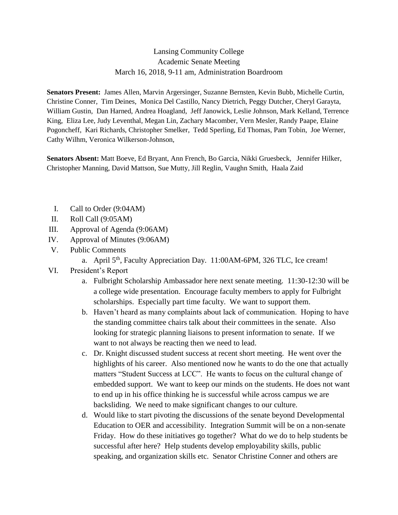## Lansing Community College Academic Senate Meeting March 16, 2018, 9-11 am, Administration Boardroom

**Senators Present:** James Allen, Marvin Argersinger, Suzanne Bernsten, Kevin Bubb, Michelle Curtin, Christine Conner, Tim Deines, Monica Del Castillo, Nancy Dietrich, Peggy Dutcher, Cheryl Garayta, William Gustin, Dan Harned, Andrea Hoagland, Jeff Janowick, Leslie Johnson, Mark Kelland, Terrence King, Eliza Lee, Judy Leventhal, Megan Lin, Zachary Macomber, Vern Mesler, Randy Paape, Elaine Pogoncheff, Kari Richards, Christopher Smelker, Tedd Sperling, Ed Thomas, Pam Tobin, Joe Werner, Cathy Wilhm, Veronica Wilkerson-Johnson,

**Senators Absent:** Matt Boeve, Ed Bryant, Ann French, Bo Garcia, Nikki Gruesbeck, Jennifer Hilker, Christopher Manning, David Mattson, Sue Mutty, Jill Reglin, Vaughn Smith, Haala Zaid

- I. Call to Order (9:04AM)
- II. Roll Call (9:05AM)
- III. Approval of Agenda (9:06AM)
- IV. Approval of Minutes (9:06AM)
- V. Public Comments
	- a. April 5<sup>th</sup>, Faculty Appreciation Day. 11:00AM-6PM, 326 TLC, Ice cream!
- VI. President's Report
	- a. Fulbright Scholarship Ambassador here next senate meeting. 11:30-12:30 will be a college wide presentation. Encourage faculty members to apply for Fulbright scholarships. Especially part time faculty. We want to support them.
	- b. Haven't heard as many complaints about lack of communication. Hoping to have the standing committee chairs talk about their committees in the senate. Also looking for strategic planning liaisons to present information to senate. If we want to not always be reacting then we need to lead.
	- c. Dr. Knight discussed student success at recent short meeting. He went over the highlights of his career. Also mentioned now he wants to do the one that actually matters "Student Success at LCC". He wants to focus on the cultural change of embedded support. We want to keep our minds on the students. He does not want to end up in his office thinking he is successful while across campus we are backsliding. We need to make significant changes to our culture.
	- d. Would like to start pivoting the discussions of the senate beyond Developmental Education to OER and accessibility. Integration Summit will be on a non-senate Friday. How do these initiatives go together? What do we do to help students be successful after here? Help students develop employability skills, public speaking, and organization skills etc. Senator Christine Conner and others are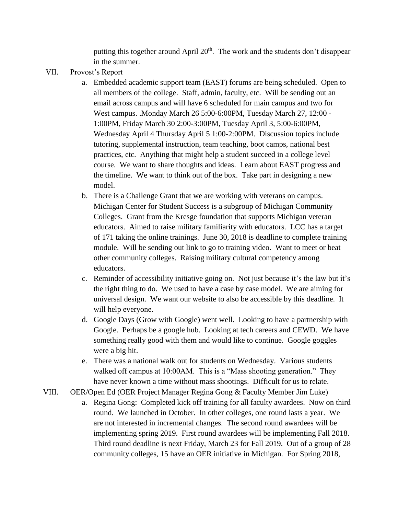putting this together around April 20<sup>th</sup>. The work and the students don't disappear in the summer.

- VII. Provost's Report
	- a. Embedded academic support team (EAST) forums are being scheduled. Open to all members of the college. Staff, admin, faculty, etc. Will be sending out an email across campus and will have 6 scheduled for main campus and two for West campus. .Monday March 26 5:00-6:00PM, Tuesday March 27, 12:00 - 1:00PM, Friday March 30 2:00-3:00PM, Tuesday April 3, 5:00-6:00PM, Wednesday April 4 Thursday April 5 1:00-2:00PM. Discussion topics include tutoring, supplemental instruction, team teaching, boot camps, national best practices, etc. Anything that might help a student succeed in a college level course. We want to share thoughts and ideas. Learn about EAST progress and the timeline. We want to think out of the box. Take part in designing a new model.
	- b. There is a Challenge Grant that we are working with veterans on campus. Michigan Center for Student Success is a subgroup of Michigan Community Colleges. Grant from the Kresge foundation that supports Michigan veteran educators. Aimed to raise military familiarity with educators. LCC has a target of 171 taking the online trainings. June 30, 2018 is deadline to complete training module. Will be sending out link to go to training video. Want to meet or beat other community colleges. Raising military cultural competency among educators.
	- c. Reminder of accessibility initiative going on. Not just because it's the law but it's the right thing to do. We used to have a case by case model. We are aiming for universal design. We want our website to also be accessible by this deadline. It will help everyone.
	- d. Google Days (Grow with Google) went well. Looking to have a partnership with Google. Perhaps be a google hub. Looking at tech careers and CEWD. We have something really good with them and would like to continue. Google goggles were a big hit.
	- e. There was a national walk out for students on Wednesday. Various students walked off campus at 10:00AM. This is a "Mass shooting generation." They have never known a time without mass shootings. Difficult for us to relate.
- VIII. OER/Open Ed (OER Project Manager Regina Gong & Faculty Member Jim Luke)
	- a. Regina Gong: Completed kick off training for all faculty awardees. Now on third round. We launched in October. In other colleges, one round lasts a year. We are not interested in incremental changes. The second round awardees will be implementing spring 2019. First round awardees will be implementing Fall 2018. Third round deadline is next Friday, March 23 for Fall 2019. Out of a group of 28 community colleges, 15 have an OER initiative in Michigan. For Spring 2018,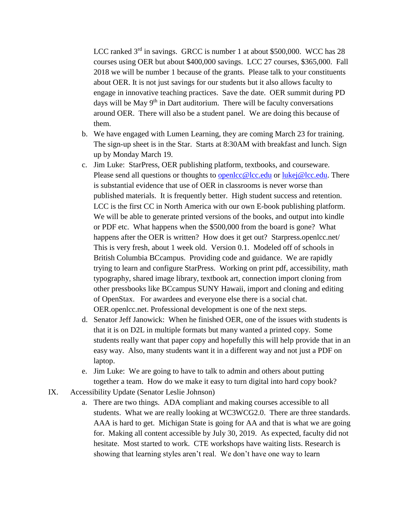LCC ranked  $3<sup>rd</sup>$  in savings. GRCC is number 1 at about \$500,000. WCC has 28 courses using OER but about \$400,000 savings. LCC 27 courses, \$365,000. Fall 2018 we will be number 1 because of the grants. Please talk to your constituents about OER. It is not just savings for our students but it also allows faculty to engage in innovative teaching practices. Save the date. OER summit during PD days will be May 9<sup>th</sup> in Dart auditorium. There will be faculty conversations around OER. There will also be a student panel. We are doing this because of them.

- b. We have engaged with Lumen Learning, they are coming March 23 for training. The sign-up sheet is in the Star. Starts at 8:30AM with breakfast and lunch. Sign up by Monday March 19.
- c. Jim Luke: StarPress, OER publishing platform, textbooks, and courseware. Please send all questions or thoughts to [openlcc@lcc.edu](mailto:openlcc@lcc.edu) or [lukej@lcc.edu.](mailto:lukej@lcc.edu) There is substantial evidence that use of OER in classrooms is never worse than published materials. It is frequently better. High student success and retention. LCC is the first CC in North America with our own E-book publishing platform. We will be able to generate printed versions of the books, and output into kindle or PDF etc. What happens when the \$500,000 from the board is gone? What happens after the OER is written? How does it get out? Starpress.openlcc.net/ This is very fresh, about 1 week old. Version 0.1. Modeled off of schools in British Columbia BCcampus. Providing code and guidance. We are rapidly trying to learn and configure StarPress. Working on print pdf, accessibility, math typography, shared image library, textbook art, connection import cloning from other pressbooks like BCcampus SUNY Hawaii, import and cloning and editing of OpenStax. For awardees and everyone else there is a social chat. OER.openlcc.net. Professional development is one of the next steps.
- d. Senator Jeff Janowick: When he finished OER, one of the issues with students is that it is on D2L in multiple formats but many wanted a printed copy. Some students really want that paper copy and hopefully this will help provide that in an easy way. Also, many students want it in a different way and not just a PDF on laptop.
- e. Jim Luke: We are going to have to talk to admin and others about putting together a team. How do we make it easy to turn digital into hard copy book?
- IX. Accessibility Update (Senator Leslie Johnson)
	- a. There are two things. ADA compliant and making courses accessible to all students. What we are really looking at WC3WCG2.0. There are three standards. AAA is hard to get. Michigan State is going for AA and that is what we are going for. Making all content accessible by July 30, 2019. As expected, faculty did not hesitate. Most started to work. CTE workshops have waiting lists. Research is showing that learning styles aren't real. We don't have one way to learn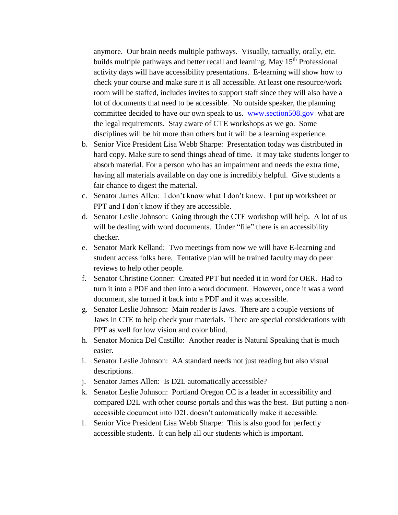anymore. Our brain needs multiple pathways. Visually, tactually, orally, etc. builds multiple pathways and better recall and learning. May 15<sup>th</sup> Professional activity days will have accessibility presentations. E-learning will show how to check your course and make sure it is all accessible. At least one resource/work room will be staffed, includes invites to support staff since they will also have a lot of documents that need to be accessible. No outside speaker, the planning committee decided to have our own speak to us. [www.section508.gov](http://www.section508.gov/) what are the legal requirements. Stay aware of CTE workshops as we go. Some disciplines will be hit more than others but it will be a learning experience.

- b. Senior Vice President Lisa Webb Sharpe: Presentation today was distributed in hard copy. Make sure to send things ahead of time. It may take students longer to absorb material. For a person who has an impairment and needs the extra time, having all materials available on day one is incredibly helpful. Give students a fair chance to digest the material.
- c. Senator James Allen: I don't know what I don't know. I put up worksheet or PPT and I don't know if they are accessible.
- d. Senator Leslie Johnson: Going through the CTE workshop will help. A lot of us will be dealing with word documents. Under "file" there is an accessibility checker.
- e. Senator Mark Kelland: Two meetings from now we will have E-learning and student access folks here. Tentative plan will be trained faculty may do peer reviews to help other people.
- f. Senator Christine Conner: Created PPT but needed it in word for OER. Had to turn it into a PDF and then into a word document. However, once it was a word document, she turned it back into a PDF and it was accessible.
- g. Senator Leslie Johnson: Main reader is Jaws. There are a couple versions of Jaws in CTE to help check your materials. There are special considerations with PPT as well for low vision and color blind.
- h. Senator Monica Del Castillo: Another reader is Natural Speaking that is much easier.
- i. Senator Leslie Johnson: AA standard needs not just reading but also visual descriptions.
- j. Senator James Allen: Is D2L automatically accessible?
- k. Senator Leslie Johnson: Portland Oregon CC is a leader in accessibility and compared D2L with other course portals and this was the best. But putting a nonaccessible document into D2L doesn't automatically make it accessible.
- l. Senior Vice President Lisa Webb Sharpe: This is also good for perfectly accessible students. It can help all our students which is important.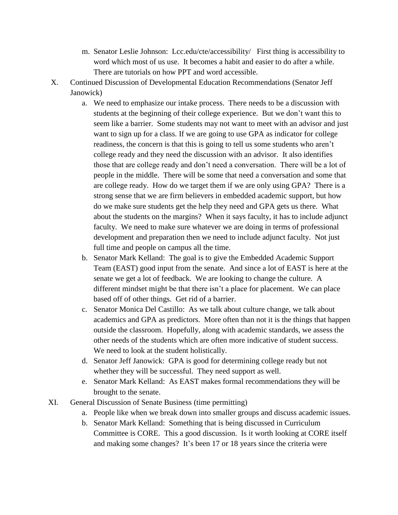- m. Senator Leslie Johnson: Lcc.edu/cte/accessibility/ First thing is accessibility to word which most of us use. It becomes a habit and easier to do after a while. There are tutorials on how PPT and word accessible.
- X. Continued Discussion of Developmental Education Recommendations (Senator Jeff Janowick)
	- a. We need to emphasize our intake process. There needs to be a discussion with students at the beginning of their college experience. But we don't want this to seem like a barrier. Some students may not want to meet with an advisor and just want to sign up for a class. If we are going to use GPA as indicator for college readiness, the concern is that this is going to tell us some students who aren't college ready and they need the discussion with an advisor. It also identifies those that are college ready and don't need a conversation. There will be a lot of people in the middle. There will be some that need a conversation and some that are college ready. How do we target them if we are only using GPA? There is a strong sense that we are firm believers in embedded academic support, but how do we make sure students get the help they need and GPA gets us there. What about the students on the margins? When it says faculty, it has to include adjunct faculty. We need to make sure whatever we are doing in terms of professional development and preparation then we need to include adjunct faculty. Not just full time and people on campus all the time.
	- b. Senator Mark Kelland: The goal is to give the Embedded Academic Support Team (EAST) good input from the senate. And since a lot of EAST is here at the senate we get a lot of feedback. We are looking to change the culture. A different mindset might be that there isn't a place for placement. We can place based off of other things. Get rid of a barrier.
	- c. Senator Monica Del Castillo: As we talk about culture change, we talk about academics and GPA as predictors. More often than not it is the things that happen outside the classroom. Hopefully, along with academic standards, we assess the other needs of the students which are often more indicative of student success. We need to look at the student holistically.
	- d. Senator Jeff Janowick: GPA is good for determining college ready but not whether they will be successful. They need support as well.
	- e. Senator Mark Kelland: As EAST makes formal recommendations they will be brought to the senate.
- XI. General Discussion of Senate Business (time permitting)
	- a. People like when we break down into smaller groups and discuss academic issues.
	- b. Senator Mark Kelland: Something that is being discussed in Curriculum Committee is CORE. This a good discussion. Is it worth looking at CORE itself and making some changes? It's been 17 or 18 years since the criteria were